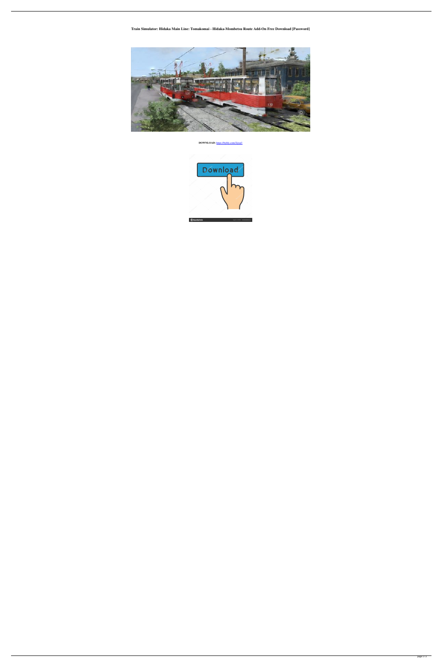**Train Simulator: Hidaka Main Line: Tomakomai - Hidaka-Mombetsu Route Add-On Free Download [Password]**



**DOWNLOAD:** <https://byltly.com/2ijxp3>